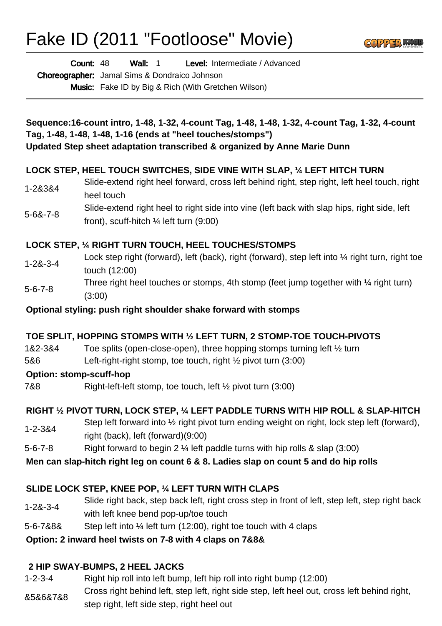# Fake ID (2011 "Footloose" Movie)



Wall: 1 Level: Intermediate / Advanced Count: 48

Choreographer: Jamal Sims & Dondraico Johnson

Music: Fake ID by Big & Rich (With Gretchen Wilson)

| Sequence:16-count intro, 1-48, 1-32, 4-count Tag, 1-48, 1-48, 1-32, 4-count Tag, 1-32, 4-count |
|------------------------------------------------------------------------------------------------|
| Tag, 1-48, 1-48, 1-48, 1-16 (ends at "heel touches/stomps")                                    |
| Updated Step sheet adaptation transcribed & organized by Anne Marie Dunn                       |

## **LOCK STEP, HEEL TOUCH SWITCHES, SIDE VINE WITH SLAP, ¼ LEFT HITCH TURN**

- 1-2&3&4 Slide-extend right heel forward, cross left behind right, step right, left heel touch, right heel touch
- 5-6&-7-8 Slide-extend right heel to right side into vine (left back with slap hips, right side, left front), scuff-hitch ¼ left turn (9:00)

## **LOCK STEP, ¼ RIGHT TURN TOUCH, HEEL TOUCHES/STOMPS**

- 1-2&-3-4 Lock step right (forward), left (back), right (forward), step left into  $\frac{1}{4}$  right turn, right toe touch (12:00) Three right heel touches or stomps, 4th stomp (feet jump together with  $\frac{1}{4}$  right turn)
- 5-6-7-8 (3:00)

**Optional styling: push right shoulder shake forward with stomps**

#### **TOE SPLIT, HOPPING STOMPS WITH ½ LEFT TURN, 2 STOMP-TOE TOUCH-PIVOTS**

- 1&2-3&4 Toe splits (open-close-open), three hopping stomps turning left ½ turn
- 5&6 Left-right-right stomp, toe touch, right ½ pivot turn (3:00)

#### **Option: stomp-scuff-hop**

7&8 Right-left-left stomp, toe touch, left ½ pivot turn (3:00)

## **RIGHT ½ PIVOT TURN, LOCK STEP, ¼ LEFT PADDLE TURNS WITH HIP ROLL & SLAP-HITCH**

- 1-2-3&4 Step left forward into ½ right pivot turn ending weight on right, lock step left (forward), right (back), left (forward)(9:00)
- 5-6-7-8 Right forward to begin 2 ¼ left paddle turns with hip rolls & slap (3:00)

#### **Men can slap-hitch right leg on count 6 & 8. Ladies slap on count 5 and do hip rolls**

## **SLIDE LOCK STEP, KNEE POP, ¼ LEFT TURN WITH CLAPS**

- 1-2&-3-4 Slide right back, step back left, right cross step in front of left, step left, step right back with left knee bend pop-up/toe touch
- 5-6-7&8& Step left into ¼ left turn (12:00), right toe touch with 4 claps

#### **Option: 2 inward heel twists on 7-8 with 4 claps on 7&8&**

## **2 HIP SWAY-BUMPS, 2 HEEL JACKS**

- 1-2-3-4 Right hip roll into left bump, left hip roll into right bump (12:00)
- &5&6&7&8 Cross right behind left, step left, right side step, left heel out, cross left behind right, step right, left side step, right heel out